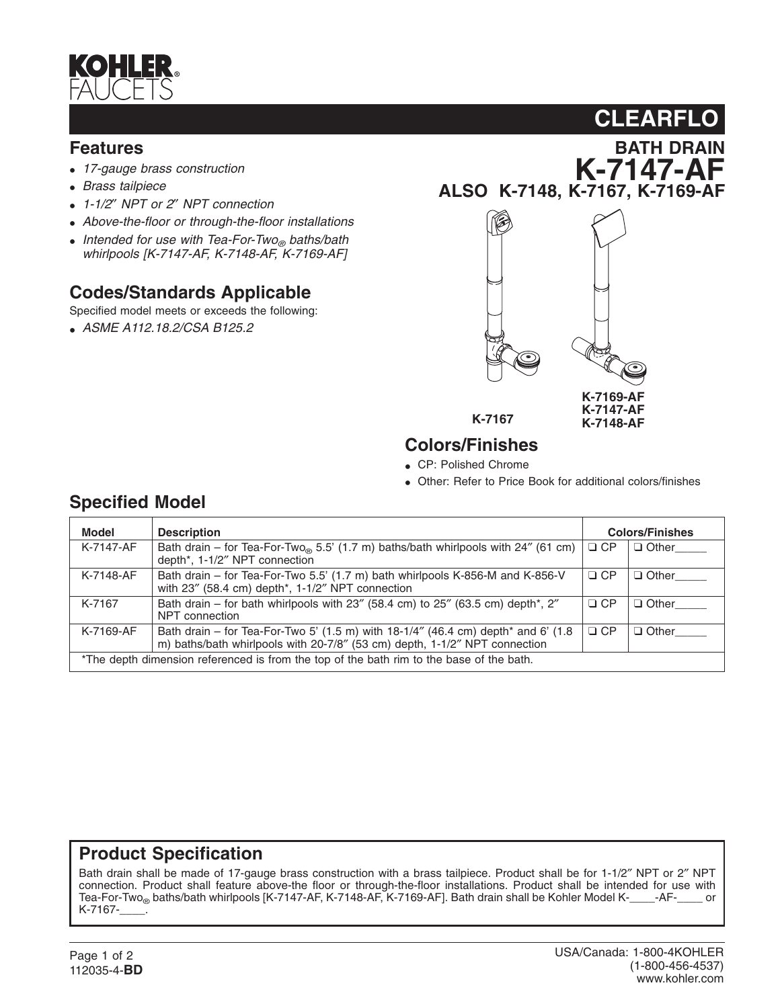

#### **Features**

- *17-gauge brass construction*
- *Brass tailpiece*
- *1-1/2*″ *NPT or 2*″ *NPT connection*
- *Above-the-floor or through-the-floor installations*
- *Intended for use with Tea-For-Two*<sub>®</sub> baths/bath *whirlpools [K-7147-AF, K-7148-AF, K-7169-AF]*

## **Codes/Standards Applicable**

Specified model meets or exceeds the following:

• *ASME A112.18.2/CSA B125.2*



**K-7147-AF ALSO K-7148, K-7167, K-7169-AF**



**Colors/Finishes**

- CP: Polished Chrome
- Other: Refer to Price Book for additional colors/finishes

| Model                                                                                    | <b>Description</b>                                                                                                                                              | <b>Colors/Finishes</b> |                    |
|------------------------------------------------------------------------------------------|-----------------------------------------------------------------------------------------------------------------------------------------------------------------|------------------------|--------------------|
| K-7147-AF                                                                                | Bath drain – for Tea-For-Two <sub><math>\infty</math></sub> 5.5' (1.7 m) baths/bath whirlpools with 24" (61 cm)<br>depth*, 1-1/2" NPT connection                | $\Box$ CP              | $\Box$ Other       |
| K-7148-AF                                                                                | Bath drain – for Tea-For-Two 5.5' (1.7 m) bath whirlpools K-856-M and K-856-V<br>with 23" (58.4 cm) depth*, 1-1/2" NPT connection                               | $\Box$ CP              | Other <sub>1</sub> |
| K-7167                                                                                   | Bath drain – for bath whirlpools with 23" (58.4 cm) to 25" (63.5 cm) depth*, 2"<br>NPT connection                                                               | $\Box$ CP              | $\Box$ Other       |
| K-7169-AF                                                                                | Bath drain – for Tea-For-Two 5' (1.5 m) with 18-1/4" (46.4 cm) depth* and 6' (1.8<br>m) baths/bath whirlpools with 20-7/8" (53 cm) depth, 1-1/2" NPT connection | $\Box$ CP              | $\Box$ Other       |
| *The depth dimension referenced is from the top of the bath rim to the base of the bath. |                                                                                                                                                                 |                        |                    |

#### **Product Specification**

Bath drain shall be made of 17-gauge brass construction with a brass tailpiece. Product shall be for 1-1/2″ NPT or 2″ NPT connection. Product shall feature above-the floor or through-the-floor installations. Product shall be intended for use with Tea-For-Two baths/bath whirlpools [K-7147-AF, K-7148-AF, K-7169-AF]. Bath drain shall be Kohler M Tea-For-Two<sub>®</sub> baths/bath whirlpools [K-7147-AF, K-7148-AF, K-7169-AF]. Bath drain shall be Kohler Model K-\_\_ K-7167-\_\_\_\_.

#### **Specified Model**